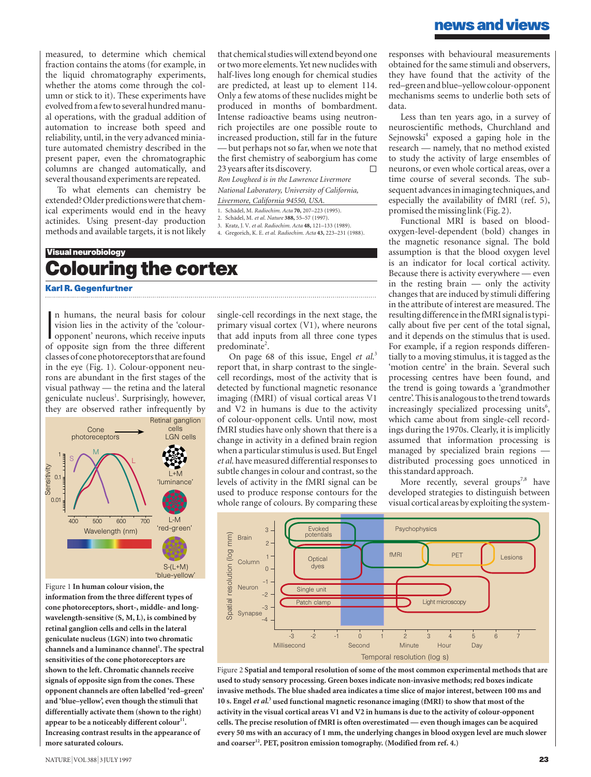measured, to determine which chemical fraction contains the atoms (for example, in the liquid chromatography experiments, whether the atoms come through the column or stick to it). These experiments have evolved from a few to several hundred manual operations, with the gradual addition of automation to increase both speed and reliability, until, in the very advanced miniature automated chemistry described in the present paper, even the chromatographic columns are changed automatically, and several thousand experiments are repeated.

To what elements can chemistry be extended? Older predictions were that chemical experiments would end in the heavy actinides. Using present-day production methods and available targets, it is not likely

that chemical studies will extend beyond one or two more elements. Yet new nuclides with half-lives long enough for chemical studies are predicted, at least up to element 114. Only a few atoms of these nuclides might be produced in months of bombardment. Intense radioactive beams using neutronrich projectiles are one possible route to increased production, still far in the future — but perhaps not so far, when we note that the first chemistry of seaborgium has come 23 years after its discovery.

*Ron Lougheed is in the Lawrence Livermore National Laboratory, University of California, Livermore, California 94550, USA.*

- 1. Schädel, M. *Radiochim. Acta* **70,** 207–223 (1995).
- 2. Schädel, M. *et al. Nature* **388,** 55–57 (1997).
- 3. Kratz, J. V. *et al. Radiochim. Acta* **48,** 121–133 (1989).
- 4. Gregorich, K. E. *et al. Radiochim. Acta* **43,** 223–231 (1988).

## **Visual neurobiology Colouring the cortex**

**Karl R. Gegenfurtner**

In humans, the neural basis for colour<br>vision lies in the activity of the 'colour-<br>opponent' neurons, which receive inputs<br>of opposite sign from the three different n humans, the neural basis for colour vision lies in the activity of the 'colouropponent' neurons, which receive inputs classes of cone photoreceptors that are found in the eye (Fig. 1). Colour-opponent neurons are abundant in the first stages of the visual pathway — the retina and the lateral geniculate nucleus<sup>1</sup>. Surprisingly, however, they are observed rather infrequently by



Figure 1 **In human colour vision, the information from the three different types of cone photoreceptors, short-, middle- and longwavelength-sensitive (S, M, L), is combined by retinal ganglion cells and cells in the lateral geniculate nucleus (LGN) into two chromatic** channels and a luminance channel<sup>1</sup>. The spectral **sensitivities of the cone photoreceptors are shown to the left. Chromatic channels receive signals of opposite sign from the cones. These opponent channels are often labelled 'red–green' and 'blue–yellow', even though the stimuli that differentially activate them (shown to the right)** appear to be a noticeably different colour<sup>11</sup>. **Increasing contrast results in the appearance of more saturated colours.** 

single-cell recordings in the next stage, the primary visual cortex (V1), where neurons that add inputs from all three cone types predominate<sup>2</sup>.

On page 68 of this issue, Engel *et al*. 3 report that, in sharp contrast to the singlecell recordings, most of the activity that is detected by functional magnetic resonance imaging (fMRI) of visual cortical areas V1 and V2 in humans is due to the activity of colour-opponent cells. Until now, most fMRI studies have only shown that there is a change in activity in a defined brain region when a particular stimulus is used. But Engel *et al*. have measured differential responses to subtle changes in colour and contrast, so the levels of activity in the fMRI signal can be used to produce response contours for the whole range of colours. By comparing these

responses with behavioural measurements obtained for the same stimuli and observers, they have found that the activity of the red–green and blue–yellow colour-opponent mechanisms seems to underlie both sets of data.

Less than ten years ago, in a survey of neuroscientific methods, Churchland and Sejnowski $4$  exposed a gaping hole in the research — namely, that no method existed to study the activity of large ensembles of neurons, or even whole cortical areas, over a time course of several seconds. The subsequent advances in imaging techniques, and especially the availability of fMRI (ref. 5), promised the missing link (Fig. 2).

Functional MRI is based on bloodoxygen-level-dependent (bold) changes in the magnetic resonance signal. The bold assumption is that the blood oxygen level is an indicator for local cortical activity. Because there is activity everywhere — even in the resting brain — only the activity changes that are induced by stimuli differing in the attribute of interest are measured. The resulting difference in the fMRI signal is typically about five per cent of the total signal, and it depends on the stimulus that is used. For example, if a region responds differentially to a moving stimulus, it is tagged as the 'motion centre' in the brain. Several such processing centres have been found, and the trend is going towards a 'grandmother centre'. This is analogous to the trend towards increasingly specialized processing units<sup>6</sup>, which came about from single-cell recordings during the 1970s. Clearly, it is implicitly assumed that information processing is managed by specialized brain regions distributed processing goes unnoticed in this standard approach.

More recently, several groups<sup>7,8</sup> have developed strategies to distinguish between visual cortical areas by exploiting the system-



Figure 2 **Spatial and temporal resolution of some of the most common experimental methods that are used to study sensory processing. Green boxes indicate non-invasive methods; red boxes indicate invasive methods. The blue shaded area indicates a time slice of major interest, between 100 ms and 10 s. Engel** *et al***. <sup>3</sup> used functional magnetic resonance imaging (fMRI) to show that most of the activity in the visual cortical areas V1 and V2 in humans is due to the activity of colour-opponent cells. The precise resolution of fMRI is often overestimated — even though images can be acquired every 50 ms with an accuracy of 1 mm, the underlying changes in blood oxygen level are much slower** and coarser<sup>12</sup>. PET, positron emission tomography. (Modified from ref. 4.)